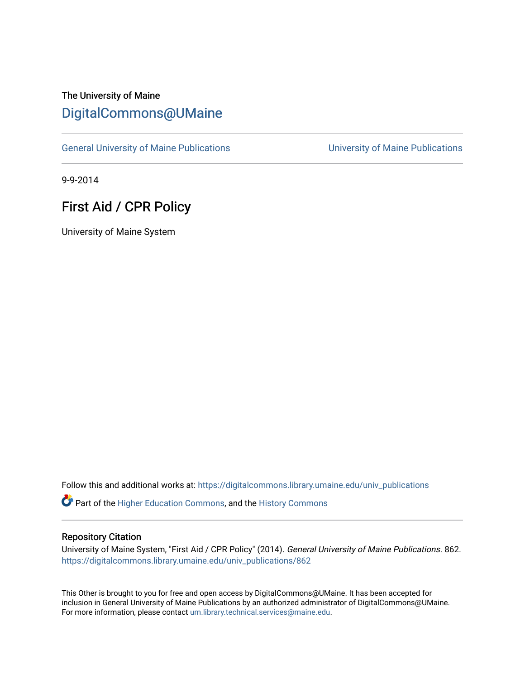# The University of Maine [DigitalCommons@UMaine](https://digitalcommons.library.umaine.edu/)

[General University of Maine Publications](https://digitalcommons.library.umaine.edu/univ_publications) [University of Maine Publications](https://digitalcommons.library.umaine.edu/umaine_publications) 

9-9-2014

## First Aid / CPR Policy

University of Maine System

Follow this and additional works at: [https://digitalcommons.library.umaine.edu/univ\\_publications](https://digitalcommons.library.umaine.edu/univ_publications?utm_source=digitalcommons.library.umaine.edu%2Funiv_publications%2F862&utm_medium=PDF&utm_campaign=PDFCoverPages) 

Part of the [Higher Education Commons,](http://network.bepress.com/hgg/discipline/1245?utm_source=digitalcommons.library.umaine.edu%2Funiv_publications%2F862&utm_medium=PDF&utm_campaign=PDFCoverPages) and the [History Commons](http://network.bepress.com/hgg/discipline/489?utm_source=digitalcommons.library.umaine.edu%2Funiv_publications%2F862&utm_medium=PDF&utm_campaign=PDFCoverPages)

#### Repository Citation

University of Maine System, "First Aid / CPR Policy" (2014). General University of Maine Publications. 862. [https://digitalcommons.library.umaine.edu/univ\\_publications/862](https://digitalcommons.library.umaine.edu/univ_publications/862?utm_source=digitalcommons.library.umaine.edu%2Funiv_publications%2F862&utm_medium=PDF&utm_campaign=PDFCoverPages) 

This Other is brought to you for free and open access by DigitalCommons@UMaine. It has been accepted for inclusion in General University of Maine Publications by an authorized administrator of DigitalCommons@UMaine. For more information, please contact [um.library.technical.services@maine.edu](mailto:um.library.technical.services@maine.edu).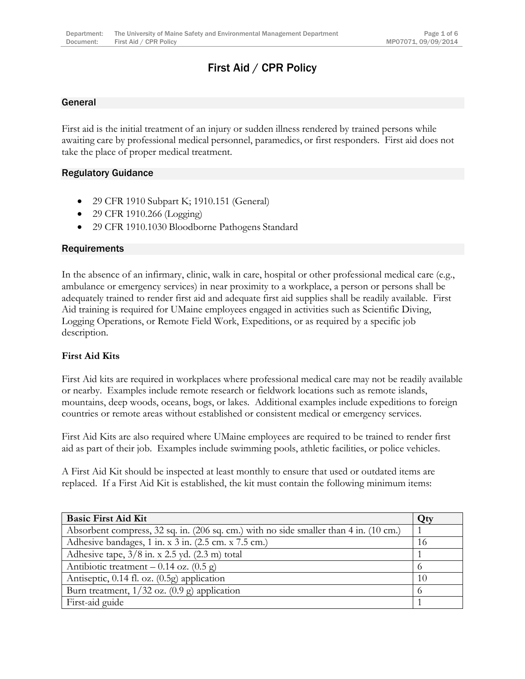# First Aid / CPR Policy

#### General

First aid is the initial treatment of an injury or sudden illness rendered by trained persons while awaiting care by professional medical personnel, paramedics, or first responders. First aid does not take the place of proper medical treatment.

#### Regulatory Guidance

- 29 CFR 1910 Subpart K; 1910.151 (General)
- 29 CFR 1910.266 (Logging)
- 29 CFR 1910.1030 Bloodborne Pathogens Standard

#### **Requirements**

In the absence of an infirmary, clinic, walk in care, hospital or other professional medical care (e.g., ambulance or emergency services) in near proximity to a workplace, a person or persons shall be adequately trained to render first aid and adequate first aid supplies shall be readily available. First Aid training is required for UMaine employees engaged in activities such as Scientific Diving, Logging Operations, or Remote Field Work, Expeditions, or as required by a specific job description.

## **First Aid Kits**

First Aid kits are required in workplaces where professional medical care may not be readily available or nearby. Examples include remote research or fieldwork locations such as remote islands, mountains, deep woods, oceans, bogs, or lakes. Additional examples include expeditions to foreign countries or remote areas without established or consistent medical or emergency services.

First Aid Kits are also required where UMaine employees are required to be trained to render first aid as part of their job. Examples include swimming pools, athletic facilities, or police vehicles.

A First Aid Kit should be inspected at least monthly to ensure that used or outdated items are replaced. If a First Aid Kit is established, the kit must contain the following minimum items:

| <b>Basic First Aid Kit</b>                                                            | Qty |
|---------------------------------------------------------------------------------------|-----|
| Absorbent compress, 32 sq. in. (206 sq. cm.) with no side smaller than 4 in. (10 cm.) |     |
| Adhesive bandages, 1 in. x 3 in. (2.5 cm. x 7.5 cm.)                                  | 16  |
| Adhesive tape, $3/8$ in. x 2.5 yd. $(2.3 \text{ m})$ total                            |     |
| Antibiotic treatment – 0.14 oz. $(0.5 \text{ g})$                                     |     |
| Antiseptic, 0.14 fl. oz. (0.5g) application                                           | 10  |
| Burn treatment, $1/32$ oz. $(0.9 \text{ g})$ application                              |     |
| First-aid guide                                                                       |     |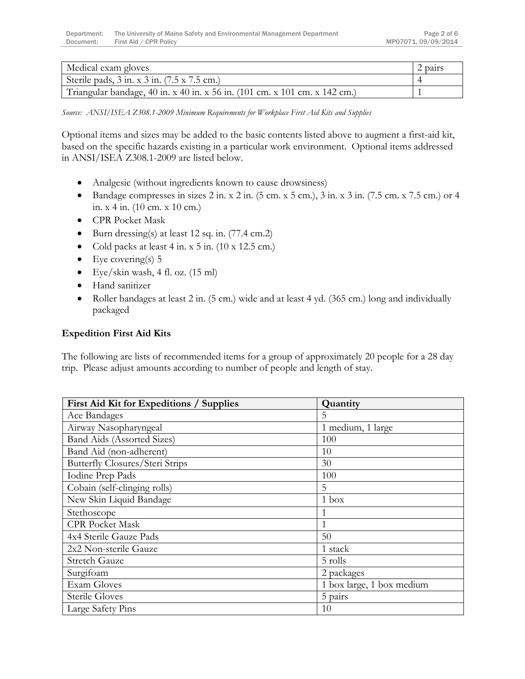| Medical exam gloves                                                        | pairs |
|----------------------------------------------------------------------------|-------|
| Sterile pads, $3$ in. x $3$ in. $(7.5 \times 7.5 \text{ cm.})$             |       |
| Triangular bandage, 40 in. x 40 in. x 56 in. (101 cm. x 101 cm. x 142 cm.) |       |

*Source: ANSI/ISEA Z308.1-2009 Minimum Requirements for Workplace First Aid Kits and Supplies*

Optional items and sizes may be added to the basic contents listed above to augment a first-aid kit, based on the specific hazards existing in a particular work environment. Optional items addressed in ANSI/ISEA Z308.1-2009 are listed below.

- Analgesic (without ingredients known to cause drowsiness)
- Bandage compresses in sizes 2 in. x 2 in.  $(5 \text{ cm. x } 5 \text{ cm.})$ ,  $3 \text{ in. x } 3 \text{ in. } (7.5 \text{ cm. x } 7.5 \text{ cm.})$  or 4 in. x 4 in. (10 cm. x 10 cm.)
- CPR Pocket Mask
- Burn dressing(s) at least 12 sq. in. (77.4 cm.2)
- Cold packs at least 4 in. x 5 in. (10 x 12.5 cm.)
- $\bullet$  Eye covering(s) 5
- Eye/skin wash, 4 fl. oz. (15 ml)
- Hand sanitizer
- Roller bandages at least 2 in. (5 cm.) wide and at least 4 yd. (365 cm.) long and individually packaged

#### **Expedition First Aid Kits**

The following are lists of recommended items for a group of approximately 20 people for a 28 day trip. Please adjust amounts according to number of people and length of stay.

| First Aid Kit for Expeditions / Supplies | Quantity                  |
|------------------------------------------|---------------------------|
| Ace Bandages                             | 5                         |
| Airway Nasopharyngeal                    | 1 medium, 1 large         |
| Band Aids (Assorted Sizes)               | 100                       |
| Band Aid (non-adherent)                  | 10                        |
| Butterfly Closures/Steri Strips          | 30                        |
| Iodine Prep Pads                         | 100                       |
| Cobain (self-clinging rolls)             | 5                         |
| New Skin Liquid Bandage                  | $1$ box                   |
| Stethoscope                              |                           |
| <b>CPR Pocket Mask</b>                   | 1                         |
| 4x4 Sterile Gauze Pads                   | 50                        |
| 2x2 Non-sterile Gauze                    | 1 stack                   |
| <b>Stretch Gauze</b>                     | 5 rolls                   |
| Surgifoam                                | 2 packages                |
| Exam Gloves                              | 1 box large, 1 box medium |
| <b>Sterile Gloves</b>                    | 5 pairs                   |
| Large Safety Pins                        | 10                        |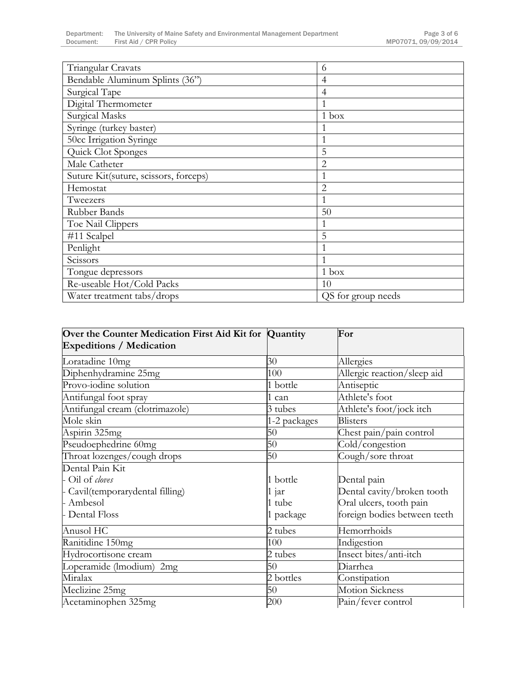| Triangular Cravats                    | 6                  |
|---------------------------------------|--------------------|
| Bendable Aluminum Splints (36")       | $\overline{4}$     |
| Surgical Tape                         | $\overline{4}$     |
| Digital Thermometer                   |                    |
| Surgical Masks                        | 1 box              |
| Syringe (turkey baster)               |                    |
| 50cc Irrigation Syringe               |                    |
| Quick Clot Sponges                    | 5                  |
| Male Catheter                         | $\overline{2}$     |
| Suture Kit(suture, scissors, forceps) |                    |
| Hemostat                              | $\overline{2}$     |
| Tweezers                              | 1                  |
| Rubber Bands                          | 50                 |
| Toe Nail Clippers                     | 1                  |
| #11 Scalpel                           | 5                  |
| Penlight                              |                    |
| Scissors                              |                    |
| Tongue depressors                     | 1 box              |
| Re-useable Hot/Cold Packs             | 10                 |
| Water treatment tabs/drops            | QS for group needs |

| Over the Counter Medication First Aid Kit for Quantity<br><b>Expeditions / Medication</b> |              | For                          |
|-------------------------------------------------------------------------------------------|--------------|------------------------------|
| Loratadine 10mg                                                                           | 30           | Allergies                    |
| Diphenhydramine 25mg                                                                      | 100          | Allergic reaction/sleep aid  |
| Provo-iodine solution                                                                     | 1 bottle     | Antiseptic                   |
| Antifungal foot spray                                                                     | 1 can        | Athlete's foot               |
| Antifungal cream (clotrimazole)                                                           | 3 tubes      | Athlete's foot/jock itch     |
| Mole skin                                                                                 | 1-2 packages | <b>Blisters</b>              |
| Aspirin 325mg                                                                             | 50           | Chest pain/pain control      |
| Pseudoephedrine 60mg                                                                      | 50           | Cold/congestion              |
| Throat lozenges/cough drops                                                               | 50           | Cough/sore throat            |
| Dental Pain Kit                                                                           |              |                              |
| - Oil of cloves                                                                           | 1 bottle     | Dental pain                  |
| - Cavil(temporarydental filling)                                                          | 1 jar        | Dental cavity/broken tooth   |
| - Ambesol                                                                                 | 1 tube       | Oral ulcers, tooth pain      |
| - Dental Floss                                                                            | 1 package    | foreign bodies between teeth |
| Anusol HC                                                                                 | 2 tubes      | Hemorrhoids                  |
| Ranitidine 150mg                                                                          | 100          | Indigestion                  |
| Hydrocortisone cream                                                                      | 2 tubes      | Insect bites/anti-itch       |
| Loperamide (Imodium) 2mg                                                                  | 50           | Diarrhea                     |
| Miralax                                                                                   | 2 bottles    | Constipation                 |
| Meclizine 25mg                                                                            | 50           | <b>Motion Sickness</b>       |
| Acetaminophen 325mg                                                                       | 200          | Pain/fever control           |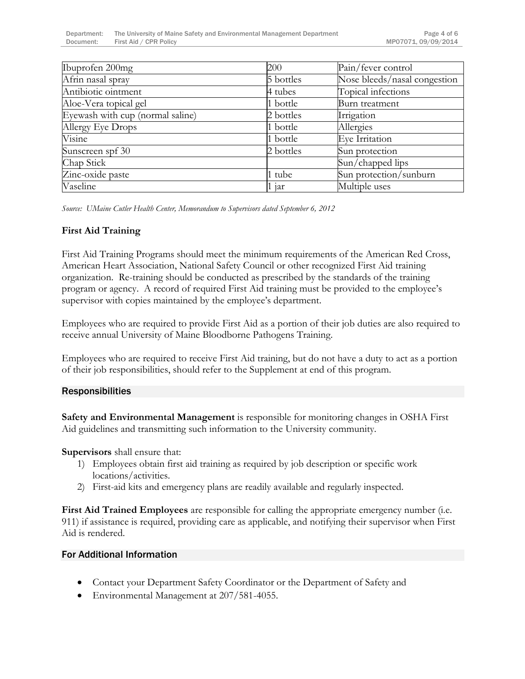| Ibuprofen 200mg                  | 200       | Pain/fever control           |
|----------------------------------|-----------|------------------------------|
| Afrin nasal spray                | 5 bottles | Nose bleeds/nasal congestion |
| Antibiotic ointment              | 4 tubes   | Topical infections           |
| Aloe-Vera topical gel            | 1 bottle  | Burn treatment               |
| Eyewash with cup (normal saline) | 2 bottles | Irrigation                   |
| Allergy Eye Drops                | 1 bottle  | Allergies                    |
| Visine                           | 1 bottle  | Eye Irritation               |
| Sunscreen spf 30                 | 2 bottles | Sun protection               |
| Chap Stick                       |           | Sun/chapped lips             |
| Zinc-oxide paste                 | 1 tube    | Sun protection/sunburn       |
| Vaseline                         | iar       | Multiple uses                |

*Source: UMaine Cutler Health Center, Memorandum to Supervisors dated September 6, 2012*

## **First Aid Training**

First Aid Training Programs should meet the minimum requirements of the American Red Cross, American Heart Association, National Safety Council or other recognized First Aid training organization. Re-training should be conducted as prescribed by the standards of the training program or agency. A record of required First Aid training must be provided to the employee's supervisor with copies maintained by the employee's department.

Employees who are required to provide First Aid as a portion of their job duties are also required to receive annual University of Maine Bloodborne Pathogens Training.

Employees who are required to receive First Aid training, but do not have a duty to act as a portion of their job responsibilities, should refer to the Supplement at end of this program.

## Responsibilities

**Safety and Environmental Management** is responsible for monitoring changes in OSHA First Aid guidelines and transmitting such information to the University community.

**Supervisors** shall ensure that:

- 1) Employees obtain first aid training as required by job description or specific work locations/activities.
- 2) First-aid kits and emergency plans are readily available and regularly inspected.

**First Aid Trained Employees** are responsible for calling the appropriate emergency number (i.e. 911) if assistance is required, providing care as applicable, and notifying their supervisor when First Aid is rendered.

## For Additional Information

- Contact your Department Safety Coordinator or the Department of Safety and
- Environmental Management at 207/581-4055.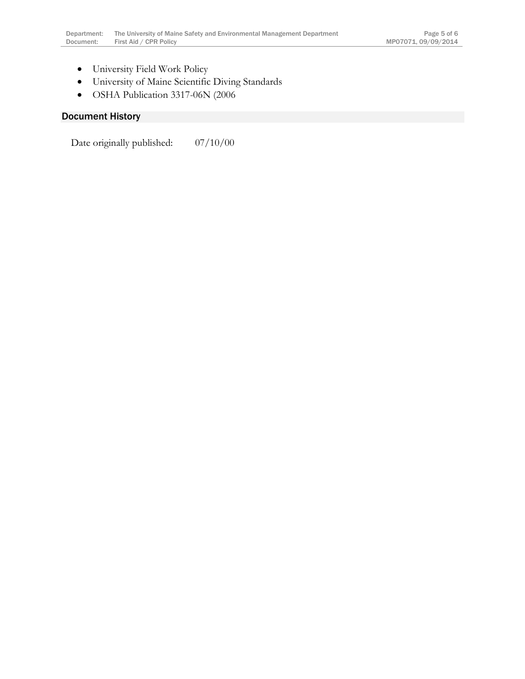- University Field Work Policy
- University of Maine Scientific Diving Standards
- OSHA Publication 3317-06N (2006

## Document History

Date originally published: 07/10/00